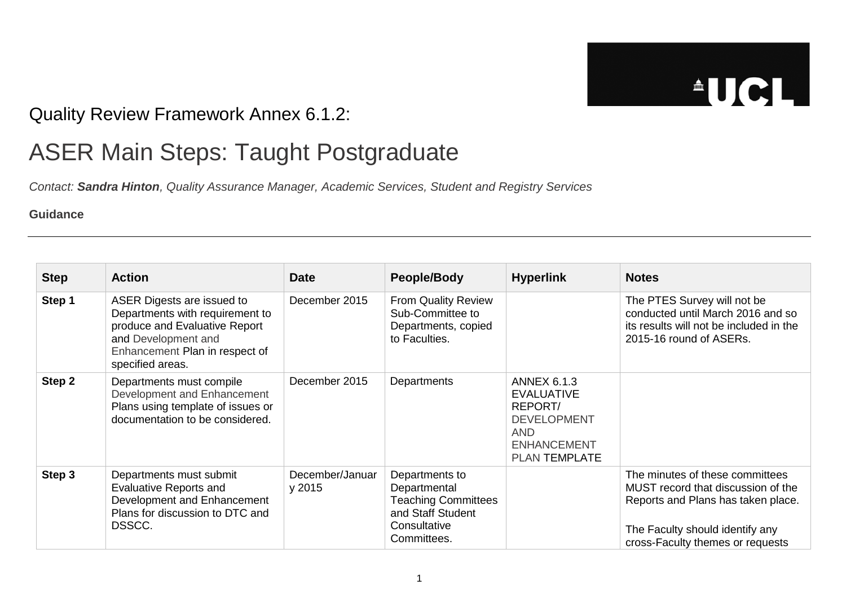## **AUCL**

## Quality Review Framework Annex 6.1.2:

## ASER Main Steps: Taught Postgraduate

*Contact: Sandra Hinton, Quality Assurance Manager, Academic Services, Student and Registry Services*

## **Guidance**

| <b>Step</b> | <b>Action</b>                                                                                                                                                               | <b>Date</b>               | <b>People/Body</b>                                                                                               | <b>Hyperlink</b>                                                                                                              | <b>Notes</b>                                                                                                                                                                       |
|-------------|-----------------------------------------------------------------------------------------------------------------------------------------------------------------------------|---------------------------|------------------------------------------------------------------------------------------------------------------|-------------------------------------------------------------------------------------------------------------------------------|------------------------------------------------------------------------------------------------------------------------------------------------------------------------------------|
| Step 1      | ASER Digests are issued to<br>Departments with requirement to<br>produce and Evaluative Report<br>and Development and<br>Enhancement Plan in respect of<br>specified areas. | December 2015             | <b>From Quality Review</b><br>Sub-Committee to<br>Departments, copied<br>to Faculties.                           |                                                                                                                               | The PTES Survey will not be<br>conducted until March 2016 and so<br>its results will not be included in the<br>2015-16 round of ASERs.                                             |
| Step 2      | Departments must compile<br>Development and Enhancement<br>Plans using template of issues or<br>documentation to be considered.                                             | December 2015             | Departments                                                                                                      | <b>ANNEX 6.1.3</b><br><b>EVALUATIVE</b><br>REPORT/<br><b>DEVELOPMENT</b><br><b>AND</b><br><b>ENHANCEMENT</b><br>PLAN TEMPLATE |                                                                                                                                                                                    |
| Step 3      | Departments must submit<br><b>Evaluative Reports and</b><br>Development and Enhancement<br>Plans for discussion to DTC and<br>DSSCC.                                        | December/Januar<br>y 2015 | Departments to<br>Departmental<br><b>Teaching Committees</b><br>and Staff Student<br>Consultative<br>Committees. |                                                                                                                               | The minutes of these committees<br>MUST record that discussion of the<br>Reports and Plans has taken place.<br>The Faculty should identify any<br>cross-Faculty themes or requests |